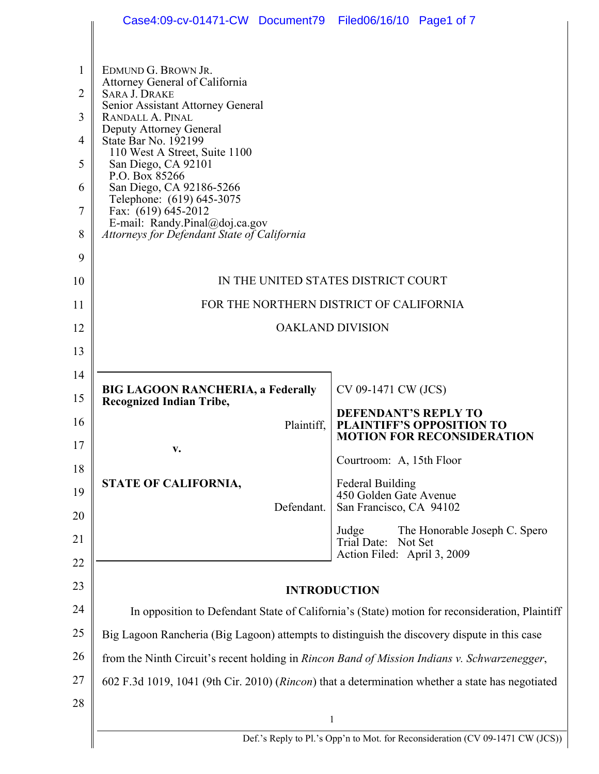|          | Case4:09-cv-01471-CW Document79 Filed06/16/10 Page1 of 7                                                                                                                                       |                                                                                                      |  |
|----------|------------------------------------------------------------------------------------------------------------------------------------------------------------------------------------------------|------------------------------------------------------------------------------------------------------|--|
|          |                                                                                                                                                                                                |                                                                                                      |  |
| 1        | EDMUND G. BROWN JR.<br>Attorney General of California                                                                                                                                          |                                                                                                      |  |
| 2        | <b>SARA J. DRAKE</b><br>Senior Assistant Attorney General                                                                                                                                      |                                                                                                      |  |
| 3        | RANDALL A. PINAL<br>Deputy Attorney General                                                                                                                                                    |                                                                                                      |  |
| 4        | State Bar No. 192199<br>110 West A Street, Suite 1100                                                                                                                                          |                                                                                                      |  |
| 5        | San Diego, CA 92101<br>P.O. Box 85266                                                                                                                                                          |                                                                                                      |  |
| 6        | San Diego, CA 92186-5266<br>Telephone: (619) 645-3075                                                                                                                                          |                                                                                                      |  |
| 7        | Fax: (619) 645-2012<br>E-mail: Randy.Pinal@doj.ca.gov                                                                                                                                          |                                                                                                      |  |
| 8        | Attorneys for Defendant State of California                                                                                                                                                    |                                                                                                      |  |
| 9        |                                                                                                                                                                                                |                                                                                                      |  |
| 10       | IN THE UNITED STATES DISTRICT COURT                                                                                                                                                            |                                                                                                      |  |
| 11       | FOR THE NORTHERN DISTRICT OF CALIFORNIA                                                                                                                                                        |                                                                                                      |  |
| 12       | <b>OAKLAND DIVISION</b>                                                                                                                                                                        |                                                                                                      |  |
| 13       |                                                                                                                                                                                                |                                                                                                      |  |
| 14       |                                                                                                                                                                                                |                                                                                                      |  |
| 15       | <b>BIG LAGOON RANCHERIA, a Federally</b><br><b>Recognized Indian Tribe,</b>                                                                                                                    | CV 09-1471 CW (JCS)                                                                                  |  |
| 16       | Plaintiff.                                                                                                                                                                                     | <b>DEFENDANT'S REPLY TO</b><br><b>PLAINTIFF'S OPPOSITION TO</b><br><b>MOTION FOR RECONSIDERATION</b> |  |
| 17       | v.                                                                                                                                                                                             | Courtroom: A, 15th Floor                                                                             |  |
| 18       | STATE OF CALIFORNIA,                                                                                                                                                                           | <b>Federal Building</b>                                                                              |  |
| 19       | Defendant.                                                                                                                                                                                     | 450 Golden Gate Avenue<br>San Francisco, CA 94102                                                    |  |
| 20       |                                                                                                                                                                                                | The Honorable Joseph C. Spero<br>Judge                                                               |  |
| 21<br>22 |                                                                                                                                                                                                | Trial Date: Not Set<br>Action Filed: April 3, 2009                                                   |  |
| 23       |                                                                                                                                                                                                |                                                                                                      |  |
| 24       | <b>INTRODUCTION</b>                                                                                                                                                                            |                                                                                                      |  |
| 25       | In opposition to Defendant State of California's (State) motion for reconsideration, Plaintiff<br>Big Lagoon Rancheria (Big Lagoon) attempts to distinguish the discovery dispute in this case |                                                                                                      |  |
| 26       |                                                                                                                                                                                                |                                                                                                      |  |
| 27       | from the Ninth Circuit's recent holding in Rincon Band of Mission Indians v. Schwarzenegger,                                                                                                   |                                                                                                      |  |
| 28       | 602 F.3d 1019, 1041 (9th Cir. 2010) (Rincon) that a determination whether a state has negotiated                                                                                               |                                                                                                      |  |
|          |                                                                                                                                                                                                | $\mathbf{1}$                                                                                         |  |
|          |                                                                                                                                                                                                | Def.'s Reply to Pl.'s Opp'n to Mot. for Reconsideration (CV 09-1471 CW (JCS))                        |  |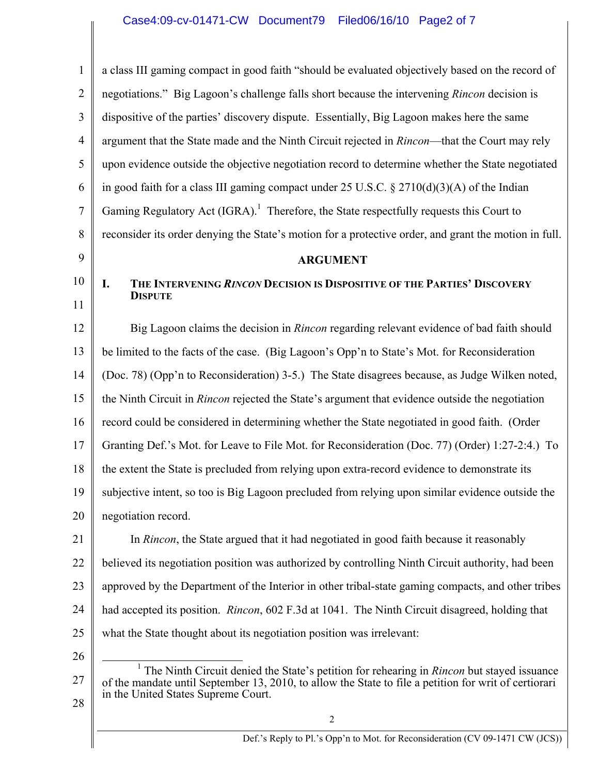| $\mathbf{1}$   | a class III gaming compact in good faith "should be evaluated objectively based on the record of                                                                                                                                                       |  |
|----------------|--------------------------------------------------------------------------------------------------------------------------------------------------------------------------------------------------------------------------------------------------------|--|
| $\overline{2}$ | negotiations." Big Lagoon's challenge falls short because the intervening Rincon decision is                                                                                                                                                           |  |
| 3              | dispositive of the parties' discovery dispute. Essentially, Big Lagoon makes here the same                                                                                                                                                             |  |
| 4              | argument that the State made and the Ninth Circuit rejected in Rincon—that the Court may rely                                                                                                                                                          |  |
| 5              | upon evidence outside the objective negotiation record to determine whether the State negotiated                                                                                                                                                       |  |
| 6              | in good faith for a class III gaming compact under 25 U.S.C. $\S 2710(d)(3)(A)$ of the Indian                                                                                                                                                          |  |
| 7              | Gaming Regulatory Act (IGRA). <sup>1</sup> Therefore, the State respectfully requests this Court to                                                                                                                                                    |  |
| 8              | reconsider its order denying the State's motion for a protective order, and grant the motion in full.                                                                                                                                                  |  |
| 9              | <b>ARGUMENT</b>                                                                                                                                                                                                                                        |  |
| 10             | I.<br>THE INTERVENING RINCON DECISION IS DISPOSITIVE OF THE PARTIES' DISCOVERY<br><b>DISPUTE</b>                                                                                                                                                       |  |
| 11             |                                                                                                                                                                                                                                                        |  |
| 12             | Big Lagoon claims the decision in <i>Rincon</i> regarding relevant evidence of bad faith should                                                                                                                                                        |  |
| 13             | be limited to the facts of the case. (Big Lagoon's Opp'n to State's Mot. for Reconsideration                                                                                                                                                           |  |
| 14             | (Doc. 78) (Opp'n to Reconsideration) 3-5.) The State disagrees because, as Judge Wilken noted,                                                                                                                                                         |  |
| 15             | the Ninth Circuit in Rincon rejected the State's argument that evidence outside the negotiation                                                                                                                                                        |  |
| 16             | record could be considered in determining whether the State negotiated in good faith. (Order                                                                                                                                                           |  |
| 17             | Granting Def.'s Mot. for Leave to File Mot. for Reconsideration (Doc. 77) (Order) 1:27-2:4.) To                                                                                                                                                        |  |
| 18             | the extent the State is precluded from relying upon extra-record evidence to demonstrate its                                                                                                                                                           |  |
| 19             | subjective intent, so too is Big Lagoon precluded from relying upon similar evidence outside the                                                                                                                                                       |  |
| 20             | negotiation record.                                                                                                                                                                                                                                    |  |
| 21             | In <i>Rincon</i> , the State argued that it had negotiated in good faith because it reasonably                                                                                                                                                         |  |
| 22             | believed its negotiation position was authorized by controlling Ninth Circuit authority, had been                                                                                                                                                      |  |
| 23             | approved by the Department of the Interior in other tribal-state gaming compacts, and other tribes                                                                                                                                                     |  |
| 24             | had accepted its position. <i>Rincon</i> , 602 F.3d at 1041. The Ninth Circuit disagreed, holding that                                                                                                                                                 |  |
| 25             | what the State thought about its negotiation position was irrelevant:                                                                                                                                                                                  |  |
| 26             |                                                                                                                                                                                                                                                        |  |
| 27             | <sup>1</sup> The Ninth Circuit denied the State's petition for rehearing in Rincon but stayed issuance<br>of the mandate until September 13, 2010, to allow the State to file a petition for writ of certiorari<br>in the United States Supreme Court. |  |
| 28             |                                                                                                                                                                                                                                                        |  |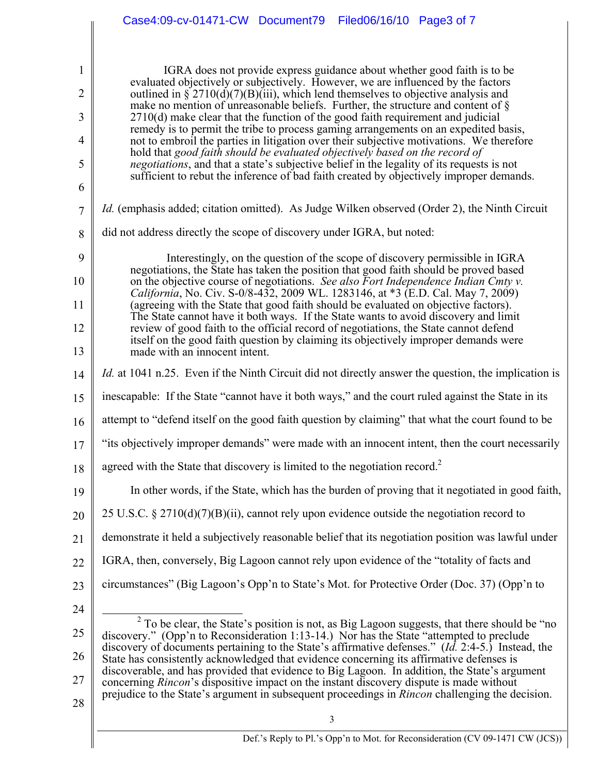|                | Case4:09-cv-01471-CW Document79<br>Filed06/16/10 Page3 of 7                                                                                                                                                                                                    |  |  |  |
|----------------|----------------------------------------------------------------------------------------------------------------------------------------------------------------------------------------------------------------------------------------------------------------|--|--|--|
|                |                                                                                                                                                                                                                                                                |  |  |  |
| $\mathbf{1}$   | IGRA does not provide express guidance about whether good faith is to be                                                                                                                                                                                       |  |  |  |
| $\overline{2}$ | evaluated objectively or subjectively. However, we are influenced by the factors<br>outlined in $\S 2710(d)(7)(B)(iii)$ , which lend themselves to objective analysis and                                                                                      |  |  |  |
| 3              | make no mention of unreasonable beliefs. Further, the structure and content of $\S$<br>2710(d) make clear that the function of the good faith requirement and judicial                                                                                         |  |  |  |
| 4              | remedy is to permit the tribe to process gaming arrangements on an expedited basis,<br>not to embroil the parties in litigation over their subjective motivations. We therefore                                                                                |  |  |  |
| 5              | hold that good faith should be evaluated objectively based on the record of<br>negotiations, and that a state's subjective belief in the legality of its requests is not                                                                                       |  |  |  |
| 6              | sufficient to rebut the inference of bad faith created by objectively improper demands.                                                                                                                                                                        |  |  |  |
| $\overline{7}$ | <i>Id.</i> (emphasis added; citation omitted). As Judge Wilken observed (Order 2), the Ninth Circuit                                                                                                                                                           |  |  |  |
| 8              | did not address directly the scope of discovery under IGRA, but noted:                                                                                                                                                                                         |  |  |  |
| 9              | Interestingly, on the question of the scope of discovery permissible in IGRA                                                                                                                                                                                   |  |  |  |
| 10             | negotiations, the State has taken the position that good faith should be proved based<br>on the objective course of negotiations. See also Fort Independence Indian Cmty v.<br>California, No. Civ. S-0/8-432, 2009 WL. 1283146, at *3 (E.D. Cal. May 7, 2009) |  |  |  |
| 11             | (agreeing with the State that good faith should be evaluated on objective factors).<br>The State cannot have it both ways. If the State wants to avoid discovery and limit                                                                                     |  |  |  |
| 12             | review of good faith to the official record of negotiations, the State cannot defend<br>itself on the good faith question by claiming its objectively improper demands were                                                                                    |  |  |  |
| 13             | made with an innocent intent.                                                                                                                                                                                                                                  |  |  |  |
| 14             | <i>Id.</i> at 1041 n.25. Even if the Ninth Circuit did not directly answer the question, the implication is                                                                                                                                                    |  |  |  |
| 15             | inescapable: If the State "cannot have it both ways," and the court ruled against the State in its                                                                                                                                                             |  |  |  |
| 16             | attempt to "defend itself on the good faith question by claiming" that what the court found to be                                                                                                                                                              |  |  |  |
| 17             | "its objectively improper demands" were made with an innocent intent, then the court necessarily                                                                                                                                                               |  |  |  |
| 18             | agreed with the State that discovery is limited to the negotiation record. <sup>2</sup>                                                                                                                                                                        |  |  |  |
| 19             | In other words, if the State, which has the burden of proving that it negotiated in good faith,                                                                                                                                                                |  |  |  |
| 20             | 25 U.S.C. § 2710(d)(7)(B)(ii), cannot rely upon evidence outside the negotiation record to                                                                                                                                                                     |  |  |  |
| 21             | demonstrate it held a subjectively reasonable belief that its negotiation position was lawful under                                                                                                                                                            |  |  |  |
| 22             | IGRA, then, conversely, Big Lagoon cannot rely upon evidence of the "totality of facts and                                                                                                                                                                     |  |  |  |
| 23             | circumstances" (Big Lagoon's Opp'n to State's Mot. for Protective Order (Doc. 37) (Opp'n to                                                                                                                                                                    |  |  |  |
| 24             |                                                                                                                                                                                                                                                                |  |  |  |
| 25             | $2\overline{10}$ be clear, the State's position is not, as Big Lagoon suggests, that there should be "no<br>discovery." (Opp'n to Reconsideration 1:13-14.) Nor has the State "attempted to preclude                                                           |  |  |  |
| 26             | discovery of documents pertaining to the State's affirmative defenses." ( <i>Id.</i> 2:4-5.) Instead, the<br>State has consistently acknowledged that evidence concerning its affirmative defenses is                                                          |  |  |  |
| 27             | discoverable, and has provided that evidence to Big Lagoon. In addition, the State's argument<br>concerning <i>Rincon</i> 's dispositive impact on the instant discovery dispute is made without                                                               |  |  |  |
| 28             | prejudice to the State's argument in subsequent proceedings in <i>Rincon</i> challenging the decision.                                                                                                                                                         |  |  |  |
|                | 3                                                                                                                                                                                                                                                              |  |  |  |
|                | Def.'s Reply to Pl.'s Opp'n to Mot. for Reconsideration (CV 09-1471 CW (JCS))                                                                                                                                                                                  |  |  |  |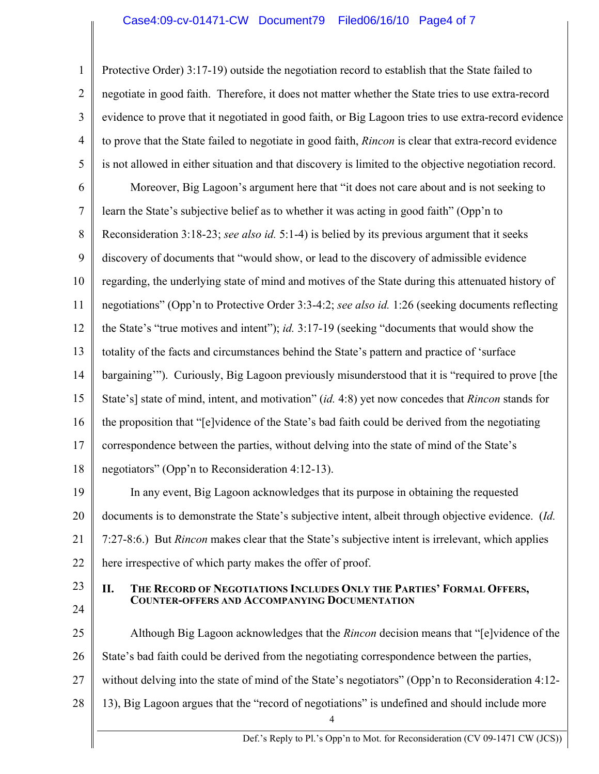### Case4:09-cv-01471-CW Document79 Filed06/16/10 Page4 of 7

1 2 3 4 5 Protective Order) 3:17-19) outside the negotiation record to establish that the State failed to negotiate in good faith. Therefore, it does not matter whether the State tries to use extra-record evidence to prove that it negotiated in good faith, or Big Lagoon tries to use extra-record evidence to prove that the State failed to negotiate in good faith, *Rincon* is clear that extra-record evidence is not allowed in either situation and that discovery is limited to the objective negotiation record.

6 7 8 9 10 11 12 13 14 15 16 17 18 Moreover, Big Lagoon's argument here that "it does not care about and is not seeking to learn the State's subjective belief as to whether it was acting in good faith" (Opp'n to Reconsideration 3:18-23; *see also id.* 5:1-4) is belied by its previous argument that it seeks discovery of documents that "would show, or lead to the discovery of admissible evidence regarding, the underlying state of mind and motives of the State during this attenuated history of negotiations" (Opp'n to Protective Order 3:3-4:2; *see also id.* 1:26 (seeking documents reflecting the State's "true motives and intent"); *id.* 3:17-19 (seeking "documents that would show the totality of the facts and circumstances behind the State's pattern and practice of 'surface bargaining'"). Curiously, Big Lagoon previously misunderstood that it is "required to prove [the State's] state of mind, intent, and motivation" (*id.* 4:8) yet now concedes that *Rincon* stands for the proposition that "[e]vidence of the State's bad faith could be derived from the negotiating correspondence between the parties, without delving into the state of mind of the State's negotiators" (Opp'n to Reconsideration 4:12-13).

19 20 21 22 In any event, Big Lagoon acknowledges that its purpose in obtaining the requested documents is to demonstrate the State's subjective intent, albeit through objective evidence. (*Id.* 7:27-8:6.) But *Rincon* makes clear that the State's subjective intent is irrelevant, which applies here irrespective of which party makes the offer of proof.

23 24

# **II. THE RECORD OF NEGOTIATIONS INCLUDES ONLY THE PARTIES' FORMAL OFFERS, COUNTER-OFFERS AND ACCOMPANYING DOCUMENTATION**

- 25 26 27 28 Although Big Lagoon acknowledges that the *Rincon* decision means that "[e]vidence of the State's bad faith could be derived from the negotiating correspondence between the parties, without delving into the state of mind of the State's negotiators" (Opp'n to Reconsideration 4:12-13), Big Lagoon argues that the "record of negotiations" is undefined and should include more
	- 4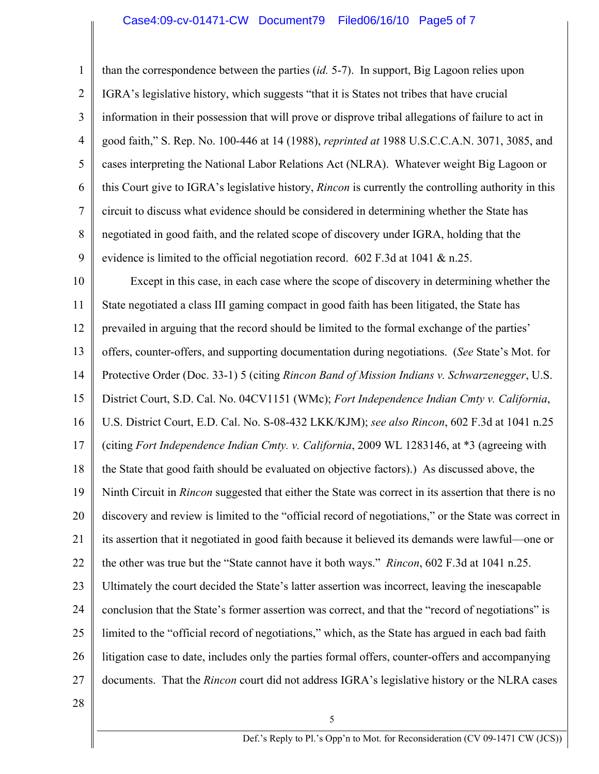#### Case4:09-cv-01471-CW Document79 Filed06/16/10 Page5 of 7

1 2 3 4 5 6 7 8 9 than the correspondence between the parties (*id.* 5-7). In support, Big Lagoon relies upon IGRA's legislative history, which suggests "that it is States not tribes that have crucial information in their possession that will prove or disprove tribal allegations of failure to act in good faith," S. Rep. No. 100-446 at 14 (1988), *reprinted at* 1988 U.S.C.C.A.N. 3071, 3085, and cases interpreting the National Labor Relations Act (NLRA). Whatever weight Big Lagoon or this Court give to IGRA's legislative history, *Rincon* is currently the controlling authority in this circuit to discuss what evidence should be considered in determining whether the State has negotiated in good faith, and the related scope of discovery under IGRA, holding that the evidence is limited to the official negotiation record. 602 F.3d at 1041 & n.25.

10 11 12 13 14 15 16 17 18 19 20 21 22 23 24 25 26 27 Except in this case, in each case where the scope of discovery in determining whether the State negotiated a class III gaming compact in good faith has been litigated, the State has prevailed in arguing that the record should be limited to the formal exchange of the parties' offers, counter-offers, and supporting documentation during negotiations. (*See* State's Mot. for Protective Order (Doc. 33-1) 5 (citing *Rincon Band of Mission Indians v. Schwarzenegger*, U.S. District Court, S.D. Cal. No. 04CV1151 (WMc); *Fort Independence Indian Cmty v. California*, U.S. District Court, E.D. Cal. No. S-08-432 LKK/KJM); *see also Rincon*, 602 F.3d at 1041 n.25 (citing *Fort Independence Indian Cmty. v. California*, 2009 WL 1283146, at \*3 (agreeing with the State that good faith should be evaluated on objective factors).) As discussed above, the Ninth Circuit in *Rincon* suggested that either the State was correct in its assertion that there is no discovery and review is limited to the "official record of negotiations," or the State was correct in its assertion that it negotiated in good faith because it believed its demands were lawful—one or the other was true but the "State cannot have it both ways." *Rincon*, 602 F.3d at 1041 n.25. Ultimately the court decided the State's latter assertion was incorrect, leaving the inescapable conclusion that the State's former assertion was correct, and that the "record of negotiations" is limited to the "official record of negotiations," which, as the State has argued in each bad faith litigation case to date, includes only the parties formal offers, counter-offers and accompanying documents. That the *Rincon* court did not address IGRA's legislative history or the NLRA cases

28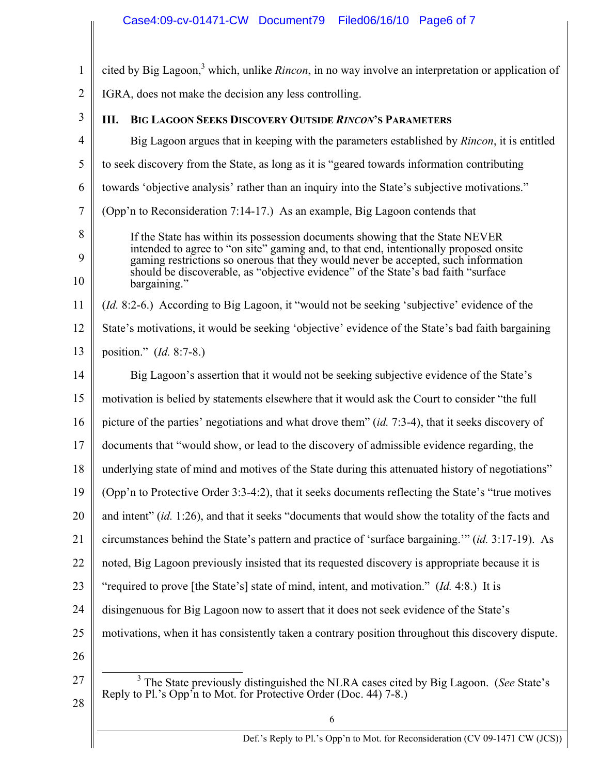# Case4:09-cv-01471-CW Document79 Filed06/16/10 Page6 of 7

| $\mathbf{1}$   | cited by Big Lagoon, <sup>3</sup> which, unlike <i>Rincon</i> , in no way involve an interpretation or application of                                                                                                                                                                                                                                              |  |
|----------------|--------------------------------------------------------------------------------------------------------------------------------------------------------------------------------------------------------------------------------------------------------------------------------------------------------------------------------------------------------------------|--|
| $\overline{2}$ | IGRA, does not make the decision any less controlling.                                                                                                                                                                                                                                                                                                             |  |
| 3              | <b>BIG LAGOON SEEKS DISCOVERY OUTSIDE RINCON'S PARAMETERS</b><br>Ш.                                                                                                                                                                                                                                                                                                |  |
| $\overline{4}$ | Big Lagoon argues that in keeping with the parameters established by <i>Rincon</i> , it is entitled                                                                                                                                                                                                                                                                |  |
| 5              | to seek discovery from the State, as long as it is "geared towards information contributing                                                                                                                                                                                                                                                                        |  |
| 6              | towards 'objective analysis' rather than an inquiry into the State's subjective motivations."                                                                                                                                                                                                                                                                      |  |
| $\tau$         | (Opp'n to Reconsideration 7:14-17.) As an example, Big Lagoon contends that                                                                                                                                                                                                                                                                                        |  |
| 8<br>9<br>10   | If the State has within its possession documents showing that the State NEVER<br>intended to agree to "on site" gaming and, to that end, intentionally proposed onsite<br>gaming restrictions so onerous that they would never be accepted, such information<br>should be discoverable, as "objective evidence" of the State's bad faith "surface"<br>bargaining." |  |
| 11             | <i>(Id. 8:2-6.)</i> According to Big Lagoon, it "would not be seeking 'subjective' evidence of the                                                                                                                                                                                                                                                                 |  |
| 12             | State's motivations, it would be seeking 'objective' evidence of the State's bad faith bargaining                                                                                                                                                                                                                                                                  |  |
| 13             | position." (Id. 8:7-8.)                                                                                                                                                                                                                                                                                                                                            |  |
| 14             | Big Lagoon's assertion that it would not be seeking subjective evidence of the State's                                                                                                                                                                                                                                                                             |  |
| 15             | motivation is belied by statements elsewhere that it would ask the Court to consider "the full                                                                                                                                                                                                                                                                     |  |
| 16             | picture of the parties' negotiations and what drove them" (id. 7:3-4), that it seeks discovery of                                                                                                                                                                                                                                                                  |  |
| 17             | documents that "would show, or lead to the discovery of admissible evidence regarding, the                                                                                                                                                                                                                                                                         |  |
| 18             | underlying state of mind and motives of the State during this attenuated history of negotiations"                                                                                                                                                                                                                                                                  |  |
| 19             | (Opp'n to Protective Order 3:3-4:2), that it seeks documents reflecting the State's "true motives                                                                                                                                                                                                                                                                  |  |
| 20             | and intent" (id. 1:26), and that it seeks "documents that would show the totality of the facts and                                                                                                                                                                                                                                                                 |  |
| 21             | circumstances behind the State's pattern and practice of 'surface bargaining." (id. 3:17-19). As                                                                                                                                                                                                                                                                   |  |
| 22             | noted, Big Lagoon previously insisted that its requested discovery is appropriate because it is                                                                                                                                                                                                                                                                    |  |
| 23             | "required to prove [the State's] state of mind, intent, and motivation." <i>(Id.</i> 4:8.) It is                                                                                                                                                                                                                                                                   |  |
| 24             | disingenuous for Big Lagoon now to assert that it does not seek evidence of the State's                                                                                                                                                                                                                                                                            |  |
| 25             | motivations, when it has consistently taken a contrary position throughout this discovery dispute.                                                                                                                                                                                                                                                                 |  |
| 26             |                                                                                                                                                                                                                                                                                                                                                                    |  |
| 27<br>28       | <sup>3</sup> The State previously distinguished the NLRA cases cited by Big Lagoon. (See State's<br>Reply to Pl.'s Opp'n to Mot. for Protective Order (Doc. 44) 7-8.)                                                                                                                                                                                              |  |
|                | $\sqrt{6}$                                                                                                                                                                                                                                                                                                                                                         |  |
|                | Def.'s Reply to Pl.'s Opp'n to Mot. for Reconsideration (CV 09-1471 CW (JCS))                                                                                                                                                                                                                                                                                      |  |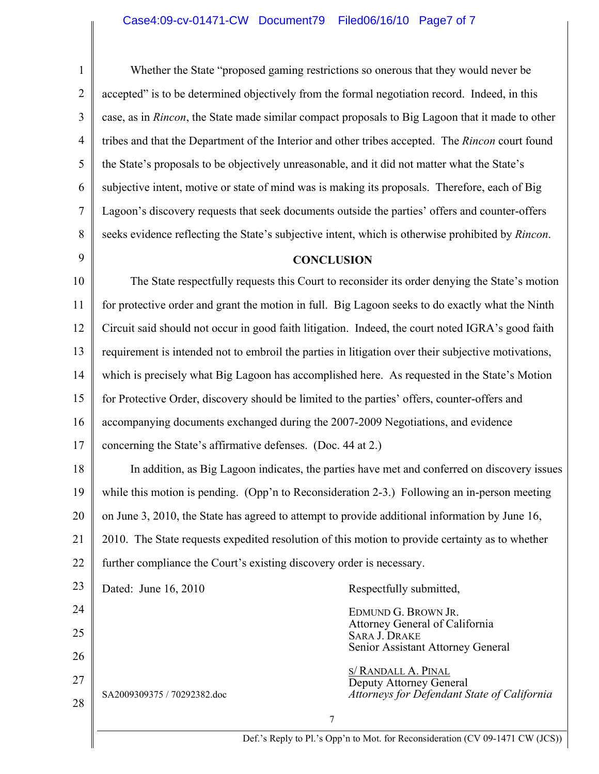## Case4:09-cv-01471-CW Document79 Filed06/16/10 Page7 of 7

1 2 3 4 5 6 7 8 9 10 11 12 13 14 15 16 17 18 19 20 21 22 23 24 25 26 27 28 7 Whether the State "proposed gaming restrictions so onerous that they would never be accepted" is to be determined objectively from the formal negotiation record. Indeed, in this case, as in *Rincon*, the State made similar compact proposals to Big Lagoon that it made to other tribes and that the Department of the Interior and other tribes accepted. The *Rincon* court found the State's proposals to be objectively unreasonable, and it did not matter what the State's subjective intent, motive or state of mind was is making its proposals. Therefore, each of Big Lagoon's discovery requests that seek documents outside the parties' offers and counter-offers seeks evidence reflecting the State's subjective intent, which is otherwise prohibited by *Rincon*. **CONCLUSION**  The State respectfully requests this Court to reconsider its order denying the State's motion for protective order and grant the motion in full. Big Lagoon seeks to do exactly what the Ninth Circuit said should not occur in good faith litigation. Indeed, the court noted IGRA's good faith requirement is intended not to embroil the parties in litigation over their subjective motivations, which is precisely what Big Lagoon has accomplished here. As requested in the State's Motion for Protective Order, discovery should be limited to the parties' offers, counter-offers and accompanying documents exchanged during the 2007-2009 Negotiations, and evidence concerning the State's affirmative defenses. (Doc. 44 at 2.) In addition, as Big Lagoon indicates, the parties have met and conferred on discovery issues while this motion is pending. (Opp'n to Reconsideration 2-3.) Following an in-person meeting on June 3, 2010, the State has agreed to attempt to provide additional information by June 16, 2010. The State requests expedited resolution of this motion to provide certainty as to whether further compliance the Court's existing discovery order is necessary. Dated: June 16, 2010 SA2009309375 / 70292382.doc Respectfully submitted, EDMUND G. BROWN JR. Attorney General of California SARA J. DRAKE Senior Assistant Attorney General S/ RANDALL A. PINAL Deputy Attorney General *Attorneys for Defendant State of California*

Def.'s Reply to Pl.'s Opp'n to Mot. for Reconsideration (CV 09-1471 CW (JCS))